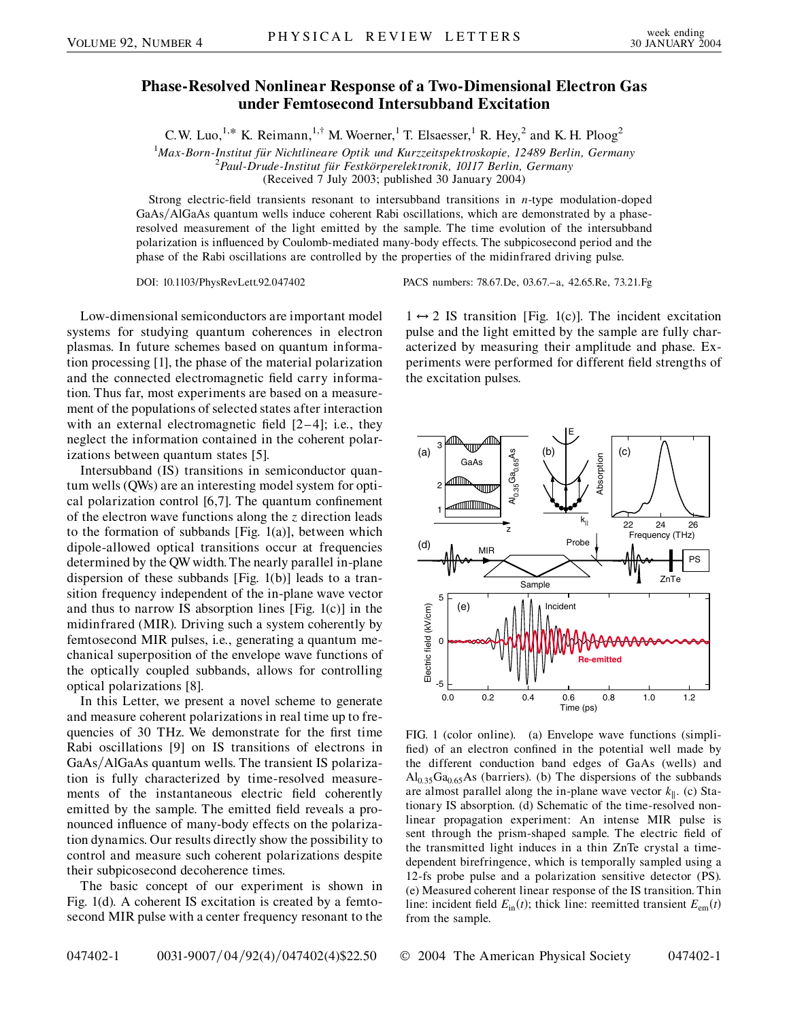## **Phase-Resolved Nonlinear Response of a Two-Dimensional Electron Gas under Femtosecond Intersubband Excitation**

C.W. Luo,<sup>1,\*</sup> K. Reimann,<sup>1,†</sup> M. Woerner,<sup>1</sup> T. Elsaesser,<sup>1</sup> R. Hey,<sup>2</sup> and K. H. Ploog<sup>2</sup>

<sup>1</sup>Max-Born-Institut für Nichtlineare Optik und Kurzzeitspektroskopie, 12489 Berlin, Germany<br><sup>2</sup> Paul Drude Institut für Eestkörperelektronik, 10117 Berlin, Germany

*Paul-Drude-Institut fu¨r Festko¨rperelektronik, 10117 Berlin, Germany*

(Received 7 July 2003; published 30 January 2004)

Strong electric-field transients resonant to intersubband transitions in *n*-type modulation-doped GaAs/AlGaAs quantum wells induce coherent Rabi oscillations, which are demonstrated by a phaseresolved measurement of the light emitted by the sample. The time evolution of the intersubband polarization is influenced by Coulomb-mediated many-body effects. The subpicosecond period and the phase of the Rabi oscillations are controlled by the properties of the midinfrared driving pulse.

DOI: 10.1103/PhysRevLett.92.047402 PACS numbers: 78.67.De, 03.67.–a, 42.65.Re, 73.21.Fg

the excitation pulses.

Low-dimensional semiconductors are important model systems for studying quantum coherences in electron plasmas. In future schemes based on quantum information processing [1], the phase of the material polarization and the connected electromagnetic field carry information. Thus far, most experiments are based on a measurement of the populations of selected states after interaction with an external electromagnetic field  $[2-4]$ ; i.e., they neglect the information contained in the coherent polarizations between quantum states [5].

Intersubband (IS) transitions in semiconductor quantum wells (QWs) are an interesting model system for optical polarization control [6,7]. The quantum confinement of the electron wave functions along the *z* direction leads to the formation of subbands [Fig. 1(a)], between which dipole-allowed optical transitions occur at frequencies determined by the QW width. The nearly parallel in-plane dispersion of these subbands [Fig. 1(b)] leads to a transition frequency independent of the in-plane wave vector and thus to narrow IS absorption lines [Fig. 1(c)] in the midinfrared (MIR). Driving such a system coherently by femtosecond MIR pulses, i.e., generating a quantum mechanical superposition of the envelope wave functions of the optically coupled subbands, allows for controlling optical polarizations [8].

In this Letter, we present a novel scheme to generate and measure coherent polarizations in real time up to frequencies of 30 THz. We demonstrate for the first time Rabi oscillations [9] on IS transitions of electrons in GaAs/AlGaAs quantum wells. The transient IS polarization is fully characterized by time-resolved measurements of the instantaneous electric field coherently emitted by the sample. The emitted field reveals a pronounced influence of many-body effects on the polarization dynamics. Our results directly show the possibility to control and measure such coherent polarizations despite their subpicosecond decoherence times.

The basic concept of our experiment is shown in Fig. 1(d). A coherent IS excitation is created by a femtosecond MIR pulse with a center frequency resonant to the

3 (a) (c)  $_{0.35}$ Ga $_{0.65}$ As (b) Al<sub>0.35</sub>Ga<sub>0.65</sub>As Absorption Absorption GaAs 2 mmmm 1  $k_{\parallel}$  22 24 26 z Frequency (THz) Probe (d) MIR PS ZnTe Sample

E

 $1 \leftrightarrow 2$  IS transition [Fig. 1(c)]. The incident excitation pulse and the light emitted by the sample are fully characterized by measuring their amplitude and phase. Experiments were performed for different field strengths of



FIG. 1 (color online). (a) Envelope wave functions (simplified) of an electron confined in the potential well made by the different conduction band edges of GaAs (wells) and  $Al<sub>0.35</sub>Ga<sub>0.65</sub>As$  (barriers). (b) The dispersions of the subbands are almost parallel along the in-plane wave vector  $k_{\parallel}$ . (c) Stationary IS absorption. (d) Schematic of the time-resolved nonlinear propagation experiment: An intense MIR pulse is sent through the prism-shaped sample. The electric field of the transmitted light induces in a thin ZnTe crystal a timedependent birefringence, which is temporally sampled using a 12-fs probe pulse and a polarization sensitive detector (PS). (e) Measured coherent linear response of the IS transition. Thin line: incident field  $E_{\text{in}}(t)$ ; thick line: reemitted transient  $E_{\text{em}}(t)$ from the sample.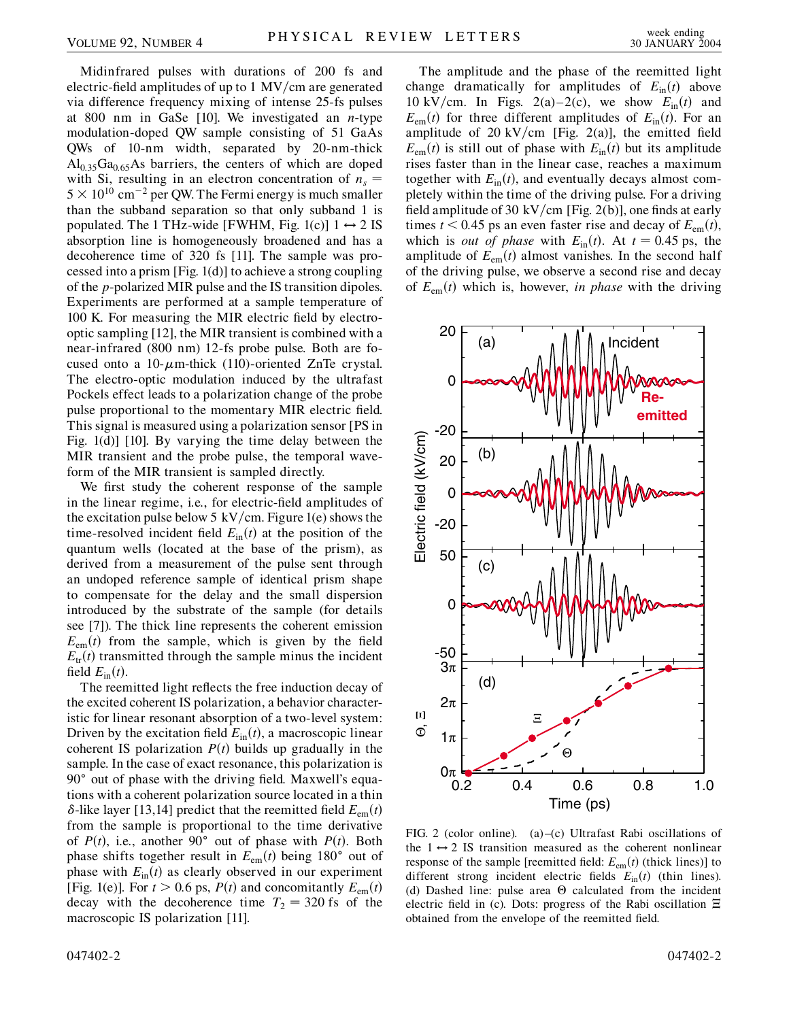Midinfrared pulses with durations of 200 fs and electric-field amplitudes of up to 1 MV/cm are generated via difference frequency mixing of intense 25-fs pulses at 800 nm in GaSe [10]. We investigated an *n*-type modulation-doped QW sample consisting of 51 GaAs QWs of 10-nm width, separated by 20-nm-thick  $Al<sub>0.35</sub>Ga<sub>0.65</sub>As barriers, the centers of which are doped$ with Si, resulting in an electron concentration of  $n<sub>s</sub>$  =  $5 \times 10^{10}$  cm<sup>-2</sup> per QW. The Fermi energy is much smaller than the subband separation so that only subband 1 is populated. The 1 THz-wide [FWHM, Fig. 1(c)]  $1 \leftrightarrow 2$  IS absorption line is homogeneously broadened and has a decoherence time of 320 fs [11]. The sample was processed into a prism [Fig. 1(d)] to achieve a strong coupling of the *p*-polarized MIR pulse and the IS transition dipoles. Experiments are performed at a sample temperature of 100 K. For measuring the MIR electric field by electrooptic sampling [12], the MIR transient is combined with a near-infrared (800 nm) 12-fs probe pulse. Both are focused onto a 10-m-thick (110)-oriented ZnTe crystal. The electro-optic modulation induced by the ultrafast Pockels effect leads to a polarization change of the probe pulse proportional to the momentary MIR electric field. This signal is measured using a polarization sensor [PS in Fig. 1(d)] [10]. By varying the time delay between the MIR transient and the probe pulse, the temporal waveform of the MIR transient is sampled directly.

We first study the coherent response of the sample in the linear regime, i.e., for electric-field amplitudes of the excitation pulse below 5 kV/cm. Figure 1(e) shows the time-resolved incident field  $E_{\text{in}}(t)$  at the position of the quantum wells (located at the base of the prism), as derived from a measurement of the pulse sent through an undoped reference sample of identical prism shape to compensate for the delay and the small dispersion introduced by the substrate of the sample (for details see [7]). The thick line represents the coherent emission  $E_{em}(t)$  from the sample, which is given by the field  $E_{tr}(t)$  transmitted through the sample minus the incident field  $E_{\text{in}}(t)$ .

The reemitted light reflects the free induction decay of the excited coherent IS polarization, a behavior characteristic for linear resonant absorption of a two-level system: Driven by the excitation field  $E_{\text{in}}(t)$ , a macroscopic linear coherent IS polarization  $P(t)$  builds up gradually in the sample. In the case of exact resonance, this polarization is 90° out of phase with the driving field. Maxwell's equations with a coherent polarization source located in a thin  $\delta$ -like layer [13,14] predict that the reemitted field  $E_{em}(t)$ from the sample is proportional to the time derivative of  $P(t)$ , i.e., another 90° out of phase with  $P(t)$ . Both phase shifts together result in  $E_{em}(t)$  being 180° out of phase with  $E_{\text{in}}(t)$  as clearly observed in our experiment [Fig. 1(e)]. For  $t > 0.6$  ps,  $P(t)$  and concomitantly  $E_{em}(t)$ decay with the decoherence time  $T_2 = 320$  fs of the macroscopic IS polarization [11].

The amplitude and the phase of the reemitted light change dramatically for amplitudes of  $E_{in}(t)$  above 10 kV/cm. In Figs. 2(a)–2(c), we show  $E_{\text{in}}(t)$  and  $E_{\text{em}}(t)$  for three different amplitudes of  $E_{\text{in}}(t)$ . For an amplitude of 20 kV/cm [Fig. 2(a)], the emitted field  $E_{em}(t)$  is still out of phase with  $E_{in}(t)$  but its amplitude rises faster than in the linear case, reaches a maximum together with  $E_{\text{in}}(t)$ , and eventually decays almost completely within the time of the driving pulse. For a driving field amplitude of 30 kV/cm [Fig. 2(b)], one finds at early times  $t < 0.45$  ps an even faster rise and decay of  $E_{em}(t)$ , which is *out of phase* with  $E_{\text{in}}(t)$ . At  $t = 0.45$  ps, the amplitude of  $E_{em}(t)$  almost vanishes. In the second half of the driving pulse, we observe a second rise and decay of  $E_{em}(t)$  which is, however, *in phase* with the driving



FIG. 2 (color online). (a)–(c) Ultrafast Rabi oscillations of the  $1 \leftrightarrow 2$  IS transition measured as the coherent nonlinear response of the sample [reemitted field:  $E_{em}(t)$  (thick lines)] to different strong incident electric fields  $E_{\text{in}}(t)$  (thin lines). (d) Dashed line: pulse area  $\Theta$  calculated from the incident electric field in (c). Dots: progress of the Rabi oscillation  $\Xi$ obtained from the envelope of the reemitted field.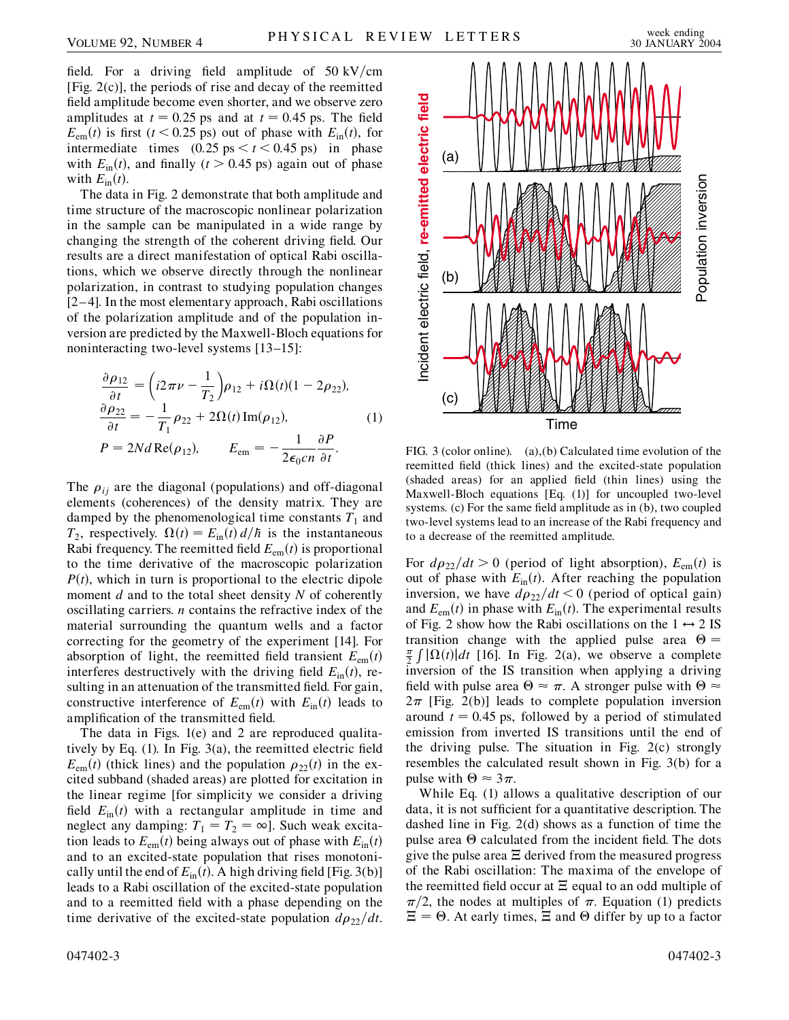field. For a driving field amplitude of  $50 \text{ kV/cm}$ [Fig. 2(c)], the periods of rise and decay of the reemitted field amplitude become even shorter, and we observe zero amplitudes at  $t = 0.25$  ps and at  $t = 0.45$  ps. The field  $E_{\text{em}}(t)$  is first ( $t < 0.25$  ps) out of phase with  $E_{\text{in}}(t)$ , for intermediate times  $(0.25 \text{ ps} < t < 0.45 \text{ ps})$  in phase with  $E_{\text{in}}(t)$ , and finally ( $t > 0.45$  ps) again out of phase with  $E_{\text{in}}(t)$ .

The data in Fig. 2 demonstrate that both amplitude and time structure of the macroscopic nonlinear polarization in the sample can be manipulated in a wide range by changing the strength of the coherent driving field. Our results are a direct manifestation of optical Rabi oscillations, which we observe directly through the nonlinear polarization, in contrast to studying population changes [2–4]. In the most elementary approach, Rabi oscillations of the polarization amplitude and of the population inversion are predicted by the Maxwell-Bloch equations for noninteracting two-level systems [13–15]:

$$
\frac{\partial \rho_{12}}{\partial t} = \left(i2\pi\nu - \frac{1}{T_2}\right)\rho_{12} + i\Omega(t)(1 - 2\rho_{22}),
$$
  
\n
$$
\frac{\partial \rho_{22}}{\partial t} = -\frac{1}{T_1}\rho_{22} + 2\Omega(t)\operatorname{Im}(\rho_{12}),
$$
  
\n
$$
P = 2Nd \operatorname{Re}(\rho_{12}), \qquad E_{em} = -\frac{1}{2\epsilon_0 cn} \frac{\partial P}{\partial t}.
$$
\n(1)

The  $\rho_{ij}$  are the diagonal (populations) and off-diagonal elements (coherences) of the density matrix. They are damped by the phenomenological time constants  $T_1$  and  $T_2$ , respectively.  $\Omega(t) = E_{\text{in}}(t) d/\hbar$  is the instantaneous Rabi frequency. The reemitted field  $E_{em}(t)$  is proportional to the time derivative of the macroscopic polarization  $P(t)$ , which in turn is proportional to the electric dipole moment *d* and to the total sheet density *N* of coherently oscillating carriers. *n* contains the refractive index of the material surrounding the quantum wells and a factor correcting for the geometry of the experiment [14]. For absorption of light, the reemitted field transient  $E_{em}(t)$ interferes destructively with the driving field  $E_{\text{in}}(t)$ , resulting in an attenuation of the transmitted field. For gain, constructive interference of  $E_{em}(t)$  with  $E_{in}(t)$  leads to amplification of the transmitted field.

The data in Figs. 1(e) and 2 are reproduced qualitatively by Eq. (1). In Fig. 3(a), the reemitted electric field  $E_{em}(t)$  (thick lines) and the population  $\rho_{22}(t)$  in the excited subband (shaded areas) are plotted for excitation in the linear regime [for simplicity we consider a driving field  $E_{\text{in}}(t)$  with a rectangular amplitude in time and neglect any damping:  $T_1 = T_2 = \infty$ ]. Such weak excitation leads to  $E_{em}(t)$  being always out of phase with  $E_{in}(t)$ and to an excited-state population that rises monotonically until the end of  $E_{in}(t)$ . A high driving field [Fig. 3(b)] leads to a Rabi oscillation of the excited-state population and to a reemitted field with a phase depending on the time derivative of the excited-state population  $d\rho_{22}/dt$ .



FIG. 3 (color online). (a),(b) Calculated time evolution of the reemitted field (thick lines) and the excited-state population (shaded areas) for an applied field (thin lines) using the Maxwell-Bloch equations [Eq. (1)] for uncoupled two-level systems. (c) For the same field amplitude as in (b), two coupled two-level systems lead to an increase of the Rabi frequency and to a decrease of the reemitted amplitude.

For  $d\rho_{22}/dt > 0$  (period of light absorption),  $E_{em}(t)$  is out of phase with  $E_{\text{in}}(t)$ . After reaching the population inversion, we have  $d\rho_{22}/dt < 0$  (period of optical gain) and  $E_{em}(t)$  in phase with  $E_{in}(t)$ . The experimental results of Fig. 2 show how the Rabi oscillations on the  $1 \leftrightarrow 2$  IS transition change with the applied pulse area  $\Theta =$  $\frac{\pi}{2}$  *j*  $\Omega(t)$  *dt* [16]. In Fig. 2(a), we observe a complete inversion of the IS transition when applying a driving field with pulse area  $\Theta \approx \pi$ . A stronger pulse with  $\Theta \approx$  $2\pi$  [Fig. 2(b)] leads to complete population inversion around  $t = 0.45$  ps, followed by a period of stimulated emission from inverted IS transitions until the end of the driving pulse. The situation in Fig. 2(c) strongly resembles the calculated result shown in Fig. 3(b) for a pulse with  $\Theta \approx 3\pi$ .

While Eq. (1) allows a qualitative description of our data, it is not sufficient for a quantitative description. The dashed line in Fig. 2(d) shows as a function of time the pulse area  $\Theta$  calculated from the incident field. The dots give the pulse area  $\Xi$  derived from the measured progress of the Rabi oscillation: The maxima of the envelope of the reemitted field occur at  $\Xi$  equal to an odd multiple of  $\pi/2$ , the nodes at multiples of  $\pi$ . Equation (1) predicts